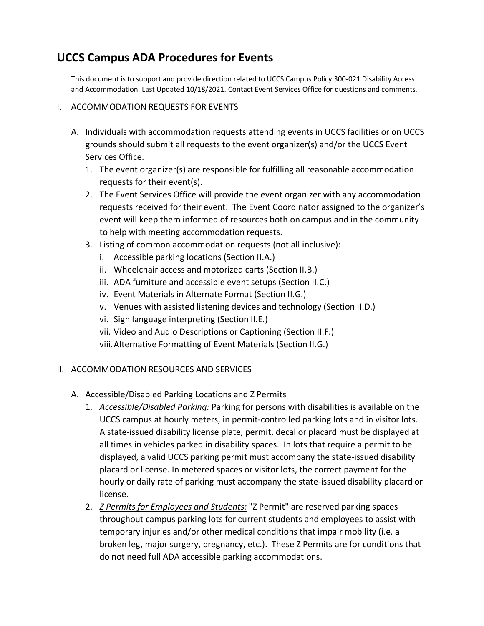## **UCCS Campus ADA Procedures for Events**

This document is to support and provide direction related to UCCS Campus Policy 300-021 Disability Access and Accommodation. Last Updated 10/18/2021. Contact Event Services Office for questions and comments.

## I. ACCOMMODATION REQUESTS FOR EVENTS

- A. Individuals with accommodation requests attending events in UCCS facilities or on UCCS grounds should submit all requests to the event organizer(s) and/or the UCCS Event Services Office.
	- 1. The event organizer(s) are responsible for fulfilling all reasonable accommodation requests for their event(s).
	- 2. The Event Services Office will provide the event organizer with any accommodation requests received for their event. The Event Coordinator assigned to the organizer's event will keep them informed of resources both on campus and in the community to help with meeting accommodation requests.
	- 3. Listing of common accommodation requests (not all inclusive):
		- i. Accessible parking locations (Section II.A.)
		- ii. Wheelchair access and motorized carts (Section II.B.)
		- iii. ADA furniture and accessible event setups (Section II.C.)
		- iv. Event Materials in Alternate Format (Section II.G.)
		- v. Venues with assisted listening devices and technology (Section II.D.)
		- vi. Sign language interpreting (Section II.E.)
		- vii. Video and Audio Descriptions or Captioning (Section II.F.)
		- viii.Alternative Formatting of Event Materials (Section II.G.)

## II. ACCOMMODATION RESOURCES AND SERVICES

- A. Accessible/Disabled Parking Locations and Z Permits
	- 1. *Accessible/Disabled Parking:* Parking for persons with disabilities is available on the UCCS campus at hourly meters, in permit-controlled parking lots and in visitor lots. A state-issued disability license plate, permit, decal or placard must be displayed at all times in vehicles parked in disability spaces. In lots that require a permit to be displayed, a valid UCCS parking permit must accompany the state-issued disability placard or license. In metered spaces or visitor lots, the correct payment for the hourly or daily rate of parking must accompany the state-issued disability placard or license.
	- 2. *Z Permits for Employees and Students:* "Z Permit" are reserved parking spaces throughout campus parking lots for current students and employees to assist with temporary injuries and/or other medical conditions that impair mobility (i.e. a broken leg, major surgery, pregnancy, etc.). These Z Permits are for conditions that do not need full ADA accessible parking accommodations.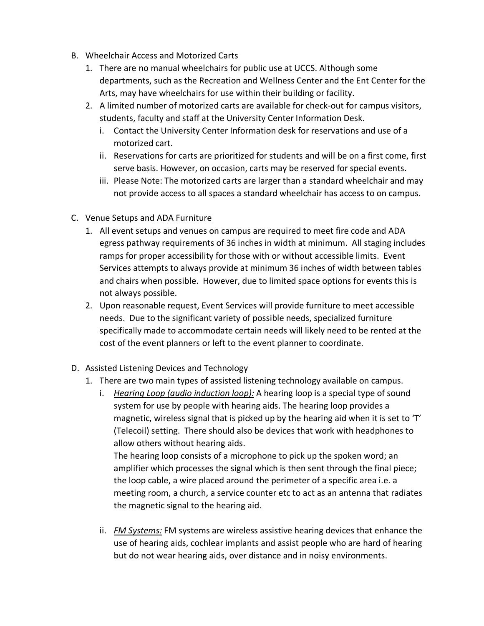- B. Wheelchair Access and Motorized Carts
	- 1. There are no manual wheelchairs for public use at UCCS. Although some departments, such as the Recreation and Wellness Center and the Ent Center for the Arts, may have wheelchairs for use within their building or facility.
	- 2. A limited number of motorized carts are available for check-out for campus visitors, students, faculty and staff at the University Center Information Desk.
		- i. Contact the University Center Information desk for reservations and use of a motorized cart.
		- ii. Reservations for carts are prioritized for students and will be on a first come, first serve basis. However, on occasion, carts may be reserved for special events.
		- iii. Please Note: The motorized carts are larger than a standard wheelchair and may not provide access to all spaces a standard wheelchair has access to on campus.
- C. Venue Setups and ADA Furniture
	- 1. All event setups and venues on campus are required to meet fire code and ADA egress pathway requirements of 36 inches in width at minimum. All staging includes ramps for proper accessibility for those with or without accessible limits. Event Services attempts to always provide at minimum 36 inches of width between tables and chairs when possible. However, due to limited space options for events this is not always possible.
	- 2. Upon reasonable request, Event Services will provide furniture to meet accessible needs. Due to the significant variety of possible needs, specialized furniture specifically made to accommodate certain needs will likely need to be rented at the cost of the event planners or left to the event planner to coordinate.
- D. Assisted Listening Devices and Technology
	- 1. There are two main types of assisted listening technology available on campus.
		- i. *Hearing Loop (audio induction loop):* A hearing loop is a special type of sound system for use by people with hearing aids. The hearing loop provides a magnetic, wireless signal that is picked up by the hearing aid when it is set to 'T' (Telecoil) setting. There should also be devices that work with headphones to allow others without hearing aids.

The hearing loop consists of a microphone to pick up the spoken word; an amplifier which processes the signal which is then sent through the final piece; the loop cable, a wire placed around the perimeter of a specific area i.e. a meeting room, a church, a service counter etc to act as an antenna that radiates the magnetic signal to the hearing aid.

ii. *FM Systems:* FM systems are wireless assistive hearing devices that enhance the use of hearing aids, cochlear implants and assist people who are hard of hearing but do not wear hearing aids, over distance and in noisy environments.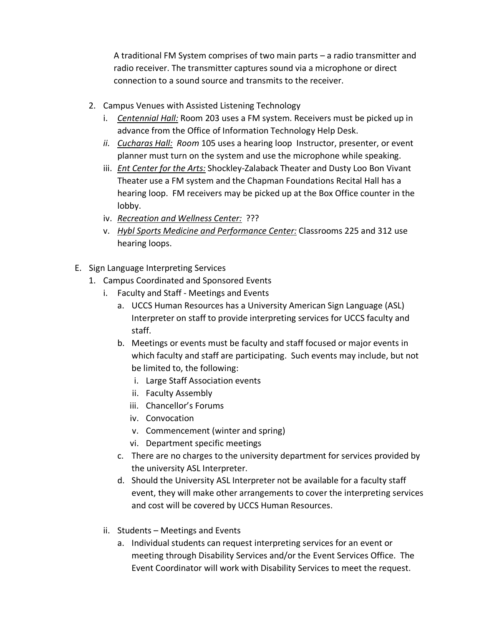A traditional FM System comprises of two main parts – a radio transmitter and radio receiver. The transmitter captures sound via a microphone or direct connection to a sound source and transmits to the receiver.

- 2. Campus Venues with Assisted Listening Technology
	- i. *Centennial Hall:* Room 203 uses a FM system. Receivers must be picked up in advance from the Office of Information Technology Help Desk.
	- *ii. Cucharas Hall: Room* 105 uses a hearing loop Instructor, presenter, or event planner must turn on the system and use the microphone while speaking.
	- iii. *Ent Center for the Arts:* Shockley-Zalaback Theater and Dusty Loo Bon Vivant Theater use a FM system and the Chapman Foundations Recital Hall has a hearing loop. FM receivers may be picked up at the Box Office counter in the lobby.
	- iv. *Recreation and Wellness Center:* ???
	- v. *Hybl Sports Medicine and Performance Center:* Classrooms 225 and 312 use hearing loops.
- E. Sign Language Interpreting Services
	- 1. Campus Coordinated and Sponsored Events
		- i. Faculty and Staff Meetings and Events
			- a. UCCS Human Resources has a University American Sign Language (ASL) Interpreter on staff to provide interpreting services for UCCS faculty and staff.
			- b. Meetings or events must be faculty and staff focused or major events in which faculty and staff are participating. Such events may include, but not be limited to, the following:
				- i. Large Staff Association events
				- ii. Faculty Assembly
				- iii. Chancellor's Forums
				- iv. Convocation
				- v. Commencement (winter and spring)
				- vi. Department specific meetings
			- c. There are no charges to the university department for services provided by the university ASL Interpreter.
			- d. Should the University ASL Interpreter not be available for a faculty staff event, they will make other arrangements to cover the interpreting services and cost will be covered by UCCS Human Resources.
		- ii. Students Meetings and Events
			- a. Individual students can request interpreting services for an event or meeting through Disability Services and/or the Event Services Office. The Event Coordinator will work with Disability Services to meet the request.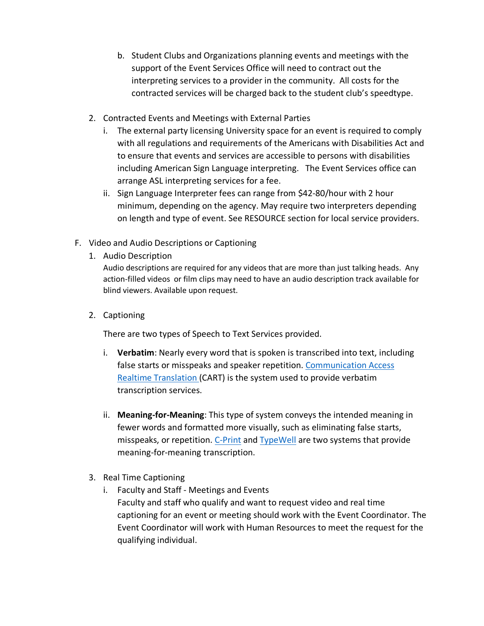- b. Student Clubs and Organizations planning events and meetings with the support of the Event Services Office will need to contract out the interpreting services to a provider in the community. All costs for the contracted services will be charged back to the student club's speedtype.
- 2. Contracted Events and Meetings with External Parties
	- i. The external party licensing University space for an event is required to comply with all regulations and requirements of the Americans with Disabilities Act and to ensure that events and services are accessible to persons with disabilities including American Sign Language interpreting. The Event Services office can arrange ASL interpreting services for a fee.
	- ii. Sign Language Interpreter fees can range from \$42-80/hour with 2 hour minimum, depending on the agency. May require two interpreters depending on length and type of event. See RESOURCE section for local service providers.
- F. Video and Audio Descriptions or Captioning
	- 1. Audio Description

Audio descriptions are required for any videos that are more than just talking heads. Any action-filled videos or film clips may need to have an audio description track available for blind viewers. Available upon request.

2. Captioning

There are two types of Speech to Text Services provided.

- i. **Verbatim**: Nearly every word that is spoken is transcribed into text, including false starts or misspeaks and speaker repetition. [Communication Access](https://www.nad.org/resources/technology/captioning-for-access/communication-access-realtime-translation/)  [Realtime Translation \(](https://www.nad.org/resources/technology/captioning-for-access/communication-access-realtime-translation/)CART) is the system used to provide verbatim transcription services.
- ii. **Meaning-for-Meaning**: This type of system conveys the intended meaning in fewer words and formatted more visually, such as eliminating false starts, misspeaks, or repetition. [C-Print](https://www.rit.edu/ntid/cprint/) and [TypeWell](https://typewell.com/) are two systems that provide meaning-for-meaning transcription.
- 3. Real Time Captioning
	- i. Faculty and Staff Meetings and Events Faculty and staff who qualify and want to request video and real time captioning for an event or meeting should work with the Event Coordinator. The Event Coordinator will work with Human Resources to meet the request for the qualifying individual.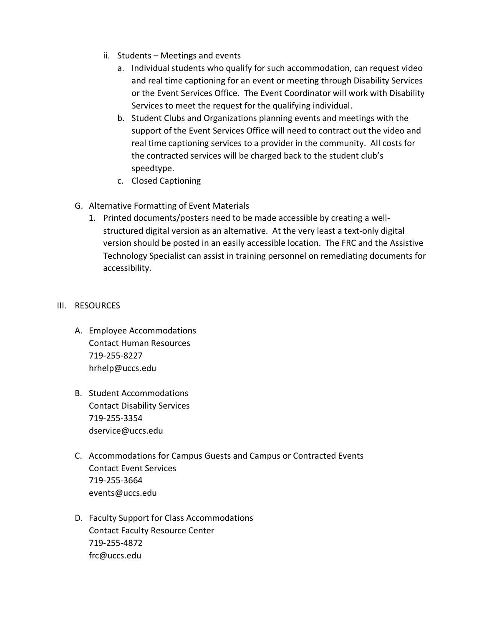- ii. Students Meetings and events
	- a. Individual students who qualify for such accommodation, can request video and real time captioning for an event or meeting through Disability Services or the Event Services Office. The Event Coordinator will work with Disability Services to meet the request for the qualifying individual.
	- b. Student Clubs and Organizations planning events and meetings with the support of the Event Services Office will need to contract out the video and real time captioning services to a provider in the community. All costs for the contracted services will be charged back to the student club's speedtype.
	- c. Closed Captioning
- G. Alternative Formatting of Event Materials
	- 1. Printed documents/posters need to be made accessible by creating a wellstructured digital version as an alternative. At the very least a text-only digital version should be posted in an easily accessible location. The FRC and the Assistive Technology Specialist can assist in training personnel on remediating documents for accessibility.

## III. RESOURCES

- A. Employee Accommodations Contact Human Resources 719-255-8227 hrhelp@uccs.edu
- B. Student Accommodations Contact Disability Services 719-255-3354 dservice@uccs.edu
- C. Accommodations for Campus Guests and Campus or Contracted Events Contact Event Services 719-255-3664 events@uccs.edu
- D. Faculty Support for Class Accommodations Contact Faculty Resource Center 719-255-4872 frc@uccs.edu